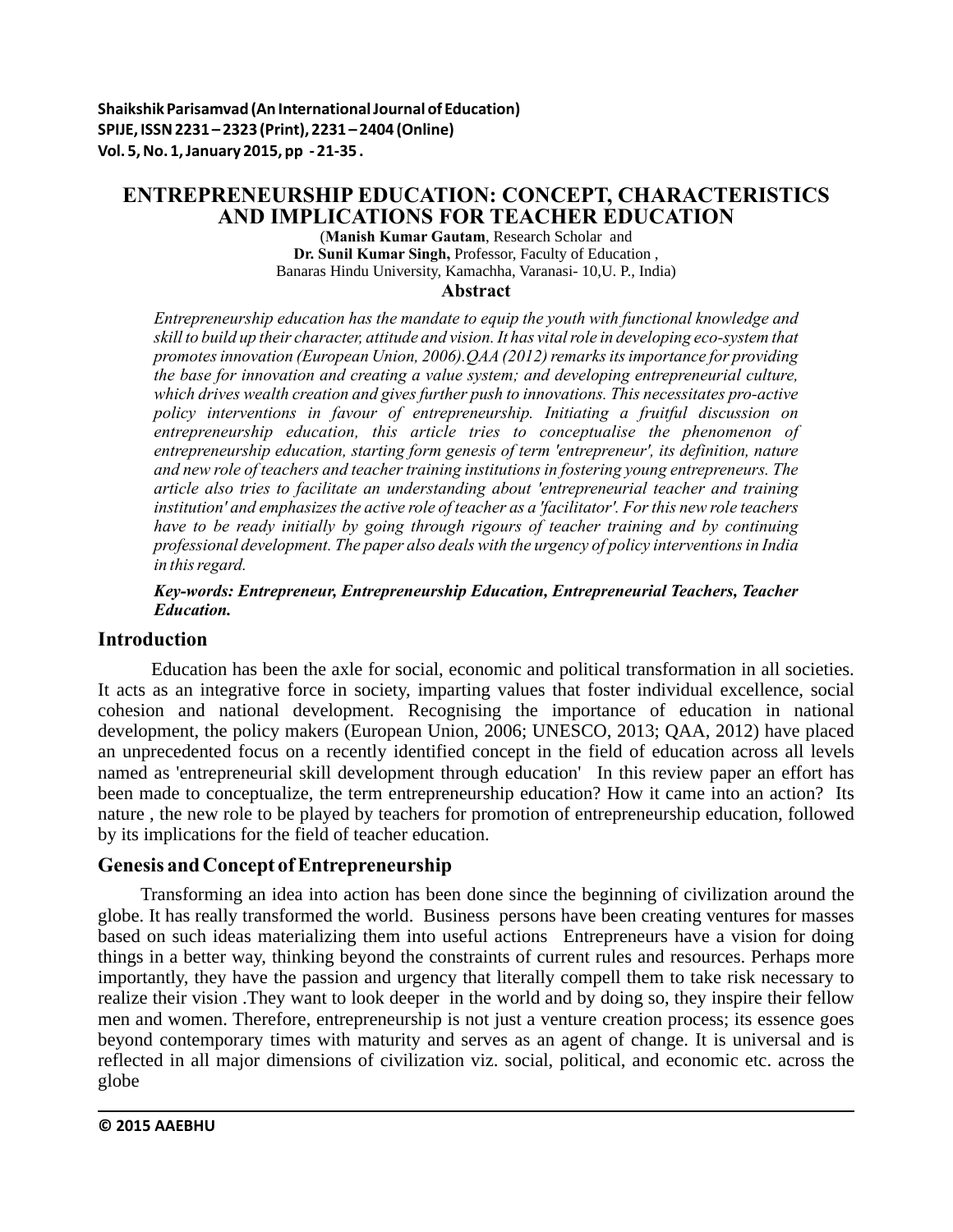**Shaikshik Parisamvad (An International Journal of Education) SPIJE, ISSN 2231 – 2323 (Print), 2231 – 2404 (Online) Vol. 5, No. 1, January 2015, pp - 21-35 .**

# **ENTREPRENEURSHIP EDUCATION: CONCEPT, CHARACTERISTICS AND IMPLICATIONS FOR TEACHER EDUCATION**

(**Manish Kumar Gautam**, Research Scholar and **Dr. Sunil Kumar Singh,** Professor, Faculty of Education , Banaras Hindu University, Kamachha, Varanasi- 10,U. P., India)

**Abstract**

*Entrepreneurship education has the mandate to equip the youth with functional knowledge and skill to build up their character, attitude and vision. It has vital role in developing eco-system that promotes innovation (European Union, 2006).QAA (2012) remarks its importance for providing the base for innovation and creating a value system; and developing entrepreneurial culture, which drives wealth creation and gives further push to innovations. This necessitates pro-active policy interventions in favour of entrepreneurship. Initiating a fruitful discussion on entrepreneurship education, this article tries to conceptualise the phenomenon of entrepreneurship education, starting form genesis of term 'entrepreneur', its definition, nature and new role of teachers and teacher training institutions in fostering young entrepreneurs. The article also tries to facilitate an understanding about 'entrepreneurial teacher and training institution' and emphasizes the active role of teacher as a 'facilitator'. For this new role teachers have to be ready initially by going through rigours of teacher training and by continuing professional development. The paper also deals with the urgency of policy interventions in India in this regard.* 

*Key-words: Entrepreneur, Entrepreneurship Education, Entrepreneurial Teachers, Teacher Education.*

# **Introduction**

 Education has been the axle for social, economic and political transformation in all societies. It acts as an integrative force in society, imparting values that foster individual excellence, social cohesion and national development. Recognising the importance of education in national development, the policy makers (European Union, 2006; UNESCO, 2013; QAA, 2012) have placed an unprecedented focus on a recently identified concept in the field of education across all levels named as 'entrepreneurial skill development through education' In this review paper an effort has been made to conceptualize, the term entrepreneurship education? How it came into an action? Its nature , the new role to be played by teachers for promotion of entrepreneurship education, followed by its implications for the field of teacher education.

# **Genesis and Concept of Entrepreneurship**

Transforming an idea into action has been done since the beginning of civilization around the globe. It has really transformed the world. Business persons have been creating ventures for masses based on such ideas materializing them into useful actions Entrepreneurs have a vision for doing things in a better way, thinking beyond the constraints of current rules and resources. Perhaps more importantly, they have the passion and urgency that literally compell them to take risk necessary to realize their vision .They want to look deeper in the world and by doing so, they inspire their fellow men and women. Therefore, entrepreneurship is not just a venture creation process; its essence goes beyond contemporary times with maturity and serves as an agent of change. It is universal and is reflected in all major dimensions of civilization viz. social, political, and economic etc. across the globe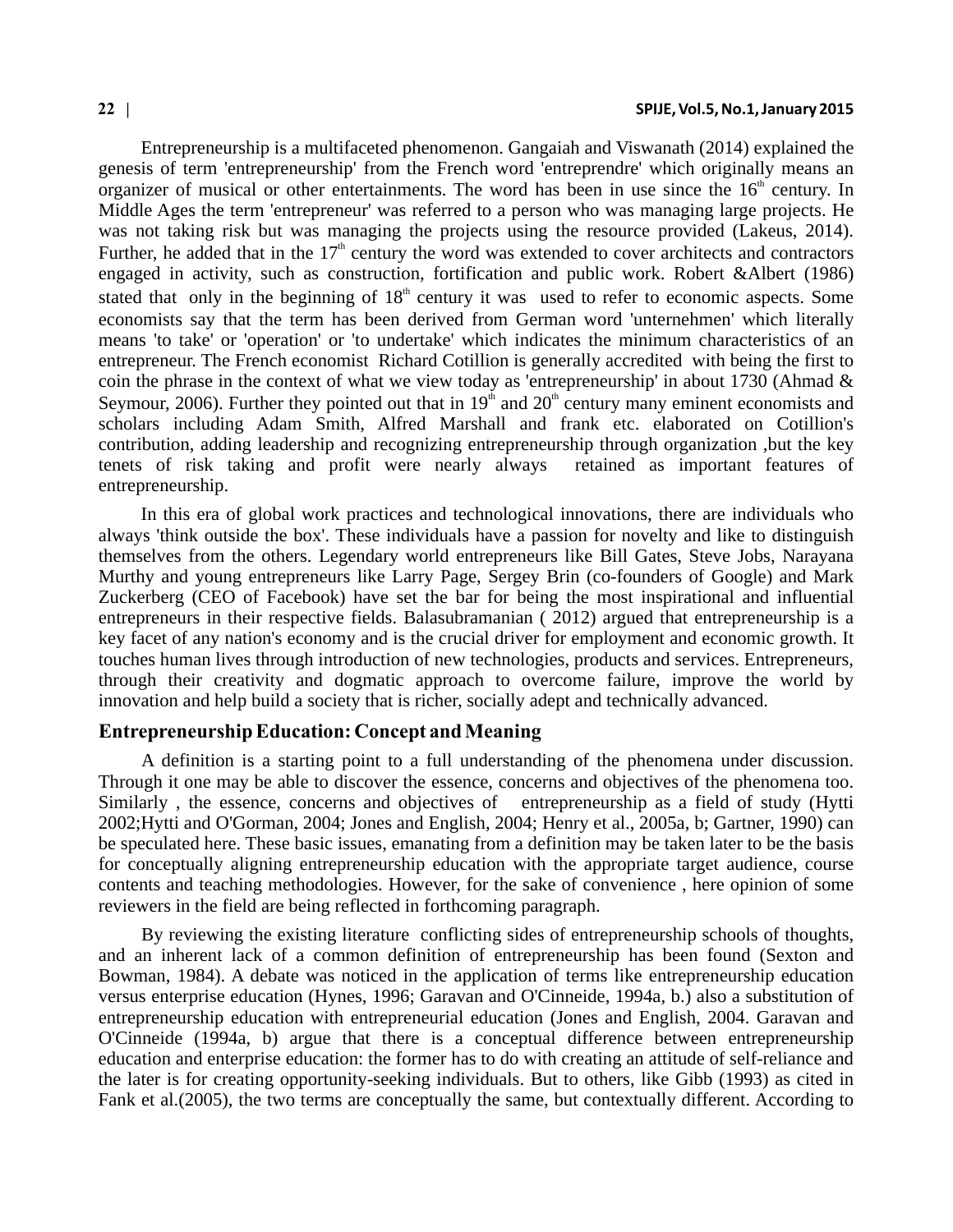Entrepreneurship is a multifaceted phenomenon. Gangaiah and Viswanath (2014) explained the genesis of term 'entrepreneurship' from the French word 'entreprendre' which originally means an organizer of musical or other entertainments. The word has been in use since the  $16<sup>th</sup>$  century. In Middle Ages the term 'entrepreneur' was referred to a person who was managing large projects. He was not taking risk but was managing the projects using the resource provided (Lakeus, 2014). Further, he added that in the  $17<sup>th</sup>$  century the word was extended to cover architects and contractors engaged in activity, such as construction, fortification and public work. Robert &Albert (1986) stated that only in the beginning of  $18<sup>th</sup>$  century it was used to refer to economic aspects. Some economists say that the term has been derived from German word 'unternehmen' which literally means 'to take' or 'operation' or 'to undertake' which indicates the minimum characteristics of an entrepreneur. The French economist Richard Cotillion is generally accredited with being the first to coin the phrase in the context of what we view today as 'entrepreneurship' in about 1730 (Ahmad & Seymour, 2006). Further they pointed out that in 19<sup>th</sup> and 20<sup>th</sup> century many eminent economists and scholars including Adam Smith, Alfred Marshall and frank etc. elaborated on Cotillion's contribution, adding leadership and recognizing entrepreneurship through organization ,but the key tenets of risk taking and profit were nearly always retained as important features of entrepreneurship.

In this era of global work practices and technological innovations, there are individuals who always 'think outside the box'. These individuals have a passion for novelty and like to distinguish themselves from the others. Legendary world entrepreneurs like Bill Gates, Steve Jobs, Narayana Murthy and young entrepreneurs like Larry Page, Sergey Brin (co-founders of Google) and Mark Zuckerberg (CEO of Facebook) have set the bar for being the most inspirational and influential entrepreneurs in their respective fields. Balasubramanian ( 2012) argued that entrepreneurship is a key facet of any nation's economy and is the crucial driver for employment and economic growth. It touches human lives through introduction of new technologies, products and services. Entrepreneurs, through their creativity and dogmatic approach to overcome failure, improve the world by innovation and help build a society that is richer, socially adept and technically advanced.

### **Entrepreneurship Education: Concept and Meaning**

A definition is a starting point to a full understanding of the phenomena under discussion. Through it one may be able to discover the essence, concerns and objectives of the phenomena too. Similarly , the essence, concerns and objectives of entrepreneurship as a field of study (Hytti 2002;Hytti and O'Gorman, 2004; Jones and English, 2004; Henry et al., 2005a, b; Gartner, 1990) can be speculated here. These basic issues, emanating from a definition may be taken later to be the basis for conceptually aligning entrepreneurship education with the appropriate target audience, course contents and teaching methodologies. However, for the sake of convenience , here opinion of some reviewers in the field are being reflected in forthcoming paragraph.

By reviewing the existing literature conflicting sides of entrepreneurship schools of thoughts, and an inherent lack of a common definition of entrepreneurship has been found (Sexton and Bowman, 1984). A debate was noticed in the application of terms like entrepreneurship education versus enterprise education (Hynes, 1996; Garavan and O'Cinneide, 1994a, b.) also a substitution of entrepreneurship education with entrepreneurial education (Jones and English, 2004. Garavan and O'Cinneide (1994a, b) argue that there is a conceptual difference between entrepreneurship education and enterprise education: the former has to do with creating an attitude of self-reliance and the later is for creating opportunity-seeking individuals. But to others, like Gibb (1993) as cited in Fank et al.(2005), the two terms are conceptually the same, but contextually different. According to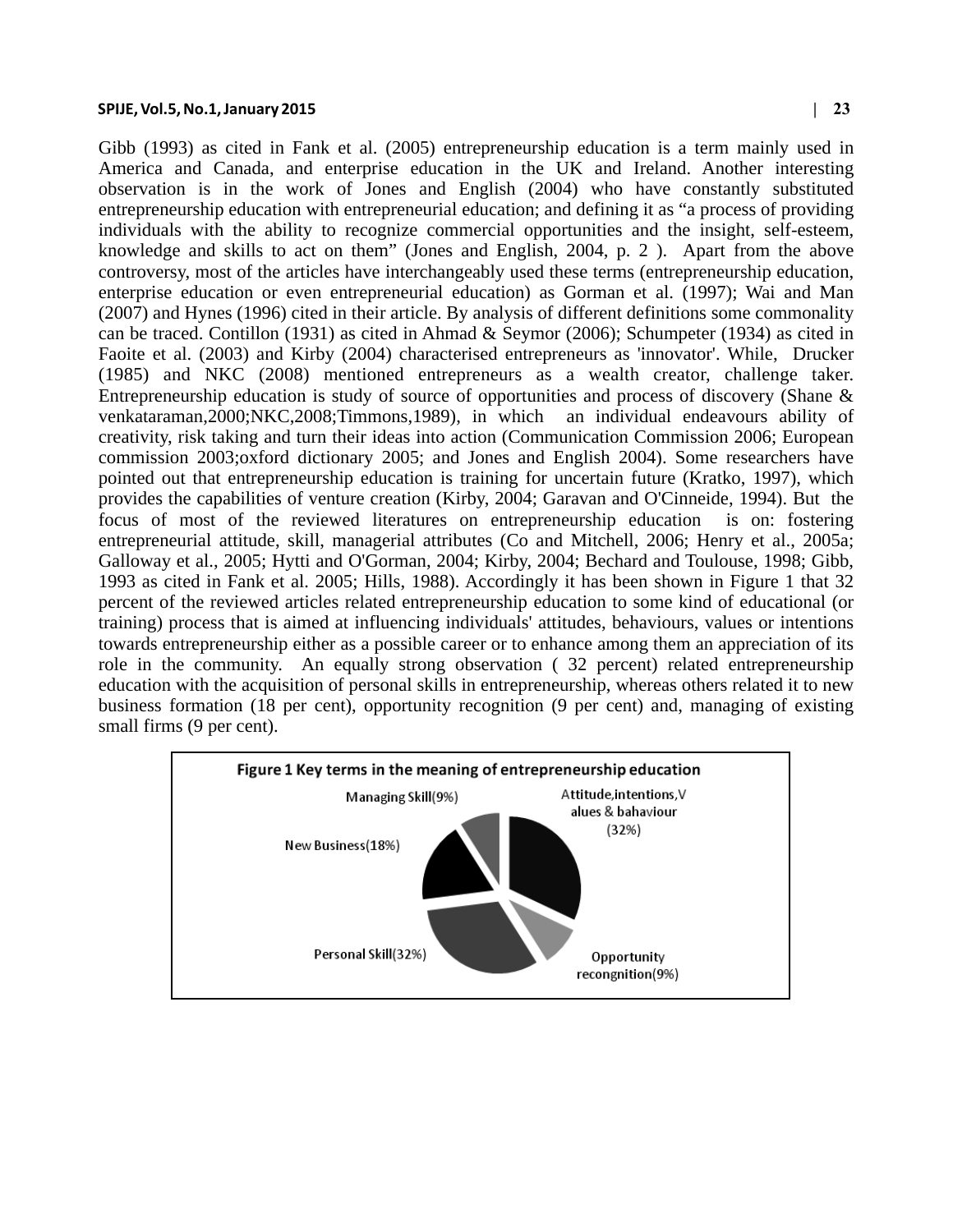Gibb (1993) as cited in Fank et al. (2005) entrepreneurship education is a term mainly used in America and Canada, and enterprise education in the UK and Ireland. Another interesting observation is in the work of Jones and English (2004) who have constantly substituted entrepreneurship education with entrepreneurial education; and defining it as "a process of providing individuals with the ability to recognize commercial opportunities and the insight, self-esteem, knowledge and skills to act on them" (Jones and English, 2004, p. 2 ). Apart from the above controversy, most of the articles have interchangeably used these terms (entrepreneurship education, enterprise education or even entrepreneurial education) as Gorman et al. (1997); Wai and Man (2007) and Hynes (1996) cited in their article. By analysis of different definitions some commonality can be traced. Contillon (1931) as cited in Ahmad & Seymor (2006); Schumpeter (1934) as cited in Faoite et al. (2003) and Kirby (2004) characterised entrepreneurs as 'innovator'. While, Drucker (1985) and NKC (2008) mentioned entrepreneurs as a wealth creator, challenge taker. Entrepreneurship education is study of source of opportunities and process of discovery (Shane  $\&$ venkataraman,2000;NKC,2008;Timmons,1989), in which an individual endeavours ability of creativity, risk taking and turn their ideas into action (Communication Commission 2006; European commission 2003;oxford dictionary 2005; and Jones and English 2004). Some researchers have pointed out that entrepreneurship education is training for uncertain future (Kratko, 1997), which provides the capabilities of venture creation (Kirby, 2004; Garavan and O'Cinneide, 1994). But the focus of most of the reviewed literatures on entrepreneurship education is on: fostering entrepreneurial attitude, skill, managerial attributes (Co and Mitchell, 2006; Henry et al., 2005a; Galloway et al., 2005; Hytti and O'Gorman, 2004; Kirby, 2004; Bechard and Toulouse, 1998; Gibb, 1993 as cited in Fank et al. 2005; Hills, 1988). Accordingly it has been shown in Figure 1 that 32 percent of the reviewed articles related entrepreneurship education to some kind of educational (or training) process that is aimed at influencing individuals' attitudes, behaviours, values or intentions towards entrepreneurship either as a possible career or to enhance among them an appreciation of its role in the community. An equally strong observation ( 32 percent) related entrepreneurship education with the acquisition of personal skills in entrepreneurship, whereas others related it to new business formation (18 per cent), opportunity recognition (9 per cent) and, managing of existing small firms (9 per cent).

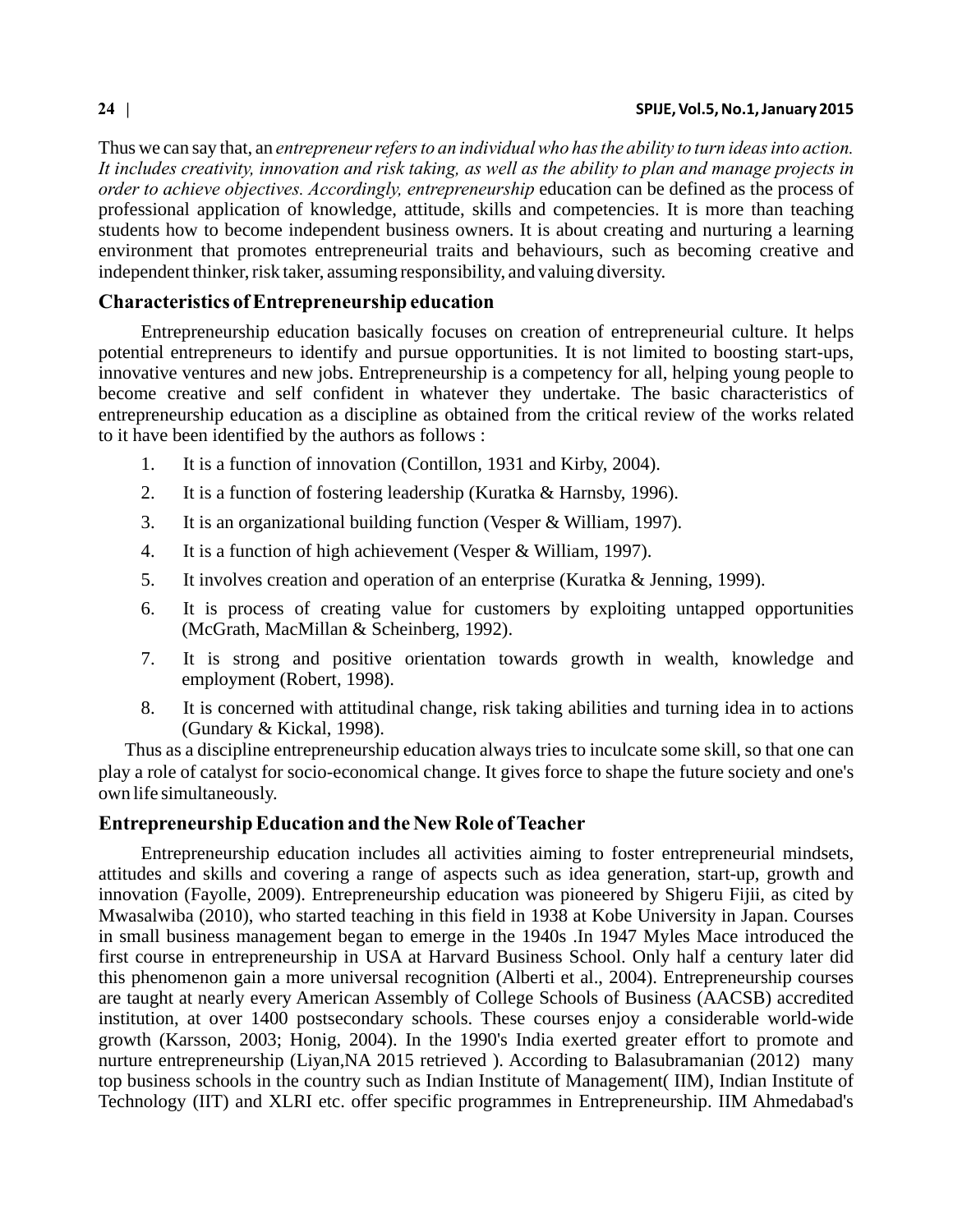Thus we can say that, an *entrepreneur refers to an individual who has the ability to turn ideas into action. It includes creativity, innovation and risk taking, as well as the ability to plan and manage projects in order to achieve objectives. Accordingly, entrepreneurship* education can be defined as the process of professional application of knowledge, attitude, skills and competencies. It is more than teaching students how to become independent business owners. It is about creating and nurturing a learning environment that promotes entrepreneurial traits and behaviours, such as becoming creative and independent thinker, risk taker, assuming responsibility, and valuing diversity.

## **Characteristics of Entrepreneurship education**

Entrepreneurship education basically focuses on creation of entrepreneurial culture. It helps potential entrepreneurs to identify and pursue opportunities. It is not limited to boosting start-ups, innovative ventures and new jobs. Entrepreneurship is a competency for all, helping young people to become creative and self confident in whatever they undertake. The basic characteristics of entrepreneurship education as a discipline as obtained from the critical review of the works related to it have been identified by the authors as follows :

- 1. It is a function of innovation (Contillon, 1931 and Kirby, 2004).
- 2. It is a function of fostering leadership (Kuratka & Harnsby, 1996).
- 3. It is an organizational building function (Vesper & William, 1997).
- 4. It is a function of high achievement (Vesper & William, 1997).
- 5. It involves creation and operation of an enterprise (Kuratka & Jenning, 1999).
- 6. It is process of creating value for customers by exploiting untapped opportunities (McGrath, MacMillan & Scheinberg, 1992).
- 7. It is strong and positive orientation towards growth in wealth, knowledge and employment (Robert, 1998).
- 8. It is concerned with attitudinal change, risk taking abilities and turning idea in to actions (Gundary & Kickal, 1998).

 Thus as a discipline entrepreneurship education always tries to inculcate some skill, so that one can play a role of catalyst for socio-economical change. It gives force to shape the future society and one's own life simultaneously.

## **Entrepreneurship Education and the New Role of Teacher**

Entrepreneurship education includes all activities aiming to foster entrepreneurial mindsets, attitudes and skills and covering a range of aspects such as idea generation, start-up, growth and innovation (Fayolle, 2009). Entrepreneurship education was pioneered by Shigeru Fijii, as cited by Mwasalwiba (2010), who started teaching in this field in 1938 at Kobe University in Japan. Courses in small business management began to emerge in the 1940s .In 1947 Myles Mace introduced the first course in entrepreneurship in USA at Harvard Business School. Only half a century later did this phenomenon gain a more universal recognition (Alberti et al., 2004). Entrepreneurship courses are taught at nearly every American Assembly of College Schools of Business (AACSB) accredited institution, at over 1400 postsecondary schools. These courses enjoy a considerable world-wide growth (Karsson, 2003; Honig, 2004). In the 1990's India exerted greater effort to promote and nurture entrepreneurship (Liyan, NA 2015 retrieved). According to Balasubramanian (2012) many top business schools in the country such as Indian Institute of Management( IIM), Indian Institute of Technology (IIT) and XLRI etc. offer specific programmes in Entrepreneurship. IIM Ahmedabad's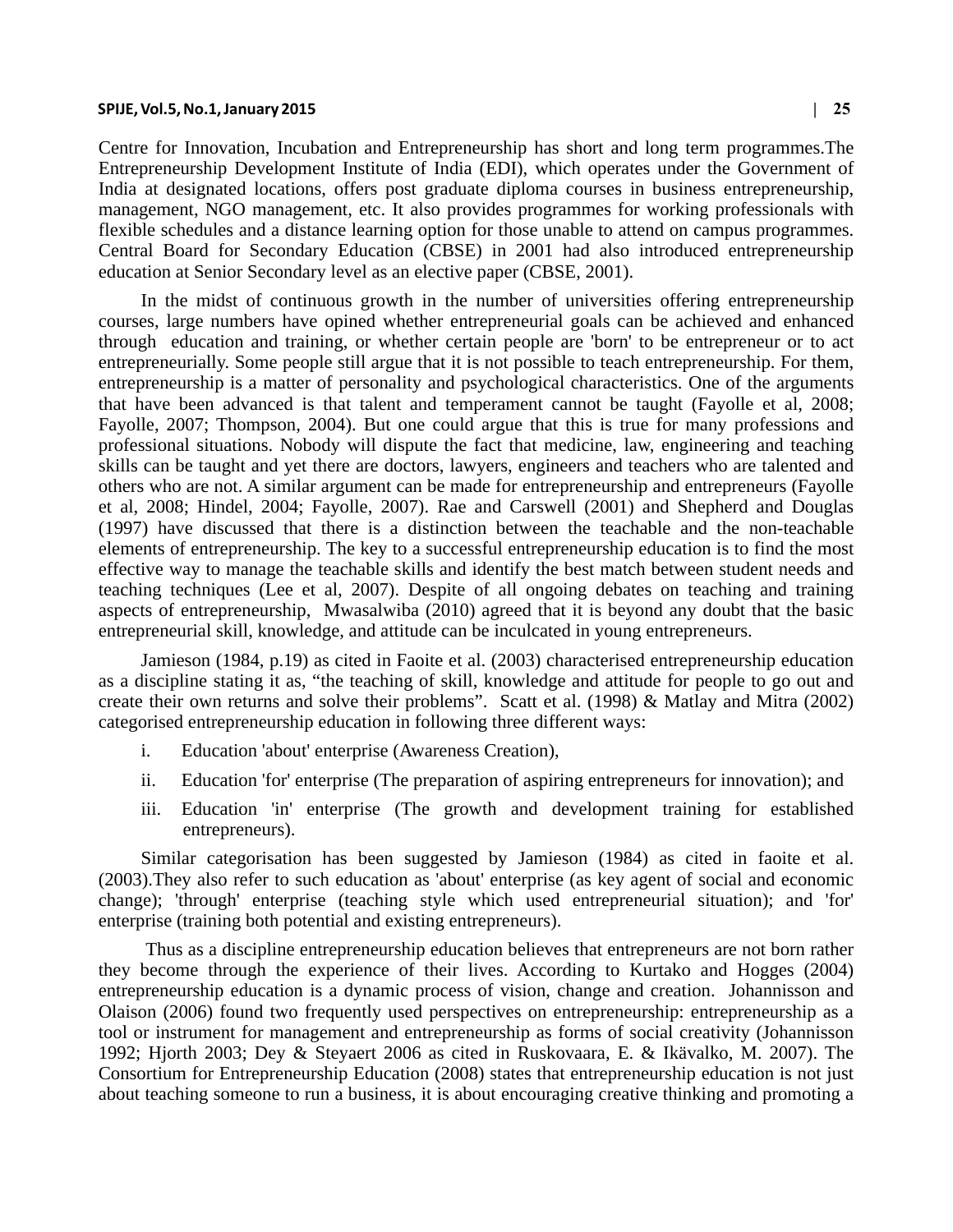Centre for Innovation, Incubation and Entrepreneurship has short and long term programmes.The Entrepreneurship Development Institute of India (EDI), which operates under the Government of India at designated locations, offers post graduate diploma courses in business entrepreneurship, management, NGO management, etc. It also provides programmes for working professionals with flexible schedules and a distance learning option for those unable to attend on campus programmes. Central Board for Secondary Education (CBSE) in 2001 had also introduced entrepreneurship education at Senior Secondary level as an elective paper (CBSE, 2001).

In the midst of continuous growth in the number of universities offering entrepreneurship courses, large numbers have opined whether entrepreneurial goals can be achieved and enhanced through education and training, or whether certain people are 'born' to be entrepreneur or to act entrepreneurially. Some people still argue that it is not possible to teach entrepreneurship. For them, entrepreneurship is a matter of personality and psychological characteristics. One of the arguments that have been advanced is that talent and temperament cannot be taught (Fayolle et al, 2008; Fayolle, 2007; Thompson, 2004). But one could argue that this is true for many professions and professional situations. Nobody will dispute the fact that medicine, law, engineering and teaching skills can be taught and yet there are doctors, lawyers, engineers and teachers who are talented and others who are not. A similar argument can be made for entrepreneurship and entrepreneurs (Fayolle et al, 2008; Hindel, 2004; Fayolle, 2007). Rae and Carswell (2001) and Shepherd and Douglas (1997) have discussed that there is a distinction between the teachable and the non-teachable elements of entrepreneurship. The key to a successful entrepreneurship education is to find the most effective way to manage the teachable skills and identify the best match between student needs and teaching techniques (Lee et al, 2007). Despite of all ongoing debates on teaching and training aspects of entrepreneurship, Mwasalwiba (2010) agreed that it is beyond any doubt that the basic entrepreneurial skill, knowledge, and attitude can be inculcated in young entrepreneurs.

Jamieson (1984, p.19) as cited in Faoite et al. (2003) characterised entrepreneurship education as a discipline stating it as, "the teaching of skill, knowledge and attitude for people to go out and create their own returns and solve their problems". Scatt et al. (1998) & Matlay and Mitra (2002) categorised entrepreneurship education in following three different ways:

- i. Education 'about' enterprise (Awareness Creation),
- ii. Education 'for' enterprise (The preparation of aspiring entrepreneurs for innovation); and
- iii. Education 'in' enterprise (The growth and development training for established entrepreneurs).

Similar categorisation has been suggested by Jamieson (1984) as cited in faoite et al. (2003).They also refer to such education as 'about' enterprise (as key agent of social and economic change); 'through' enterprise (teaching style which used entrepreneurial situation); and 'for' enterprise (training both potential and existing entrepreneurs).

 Thus as a discipline entrepreneurship education believes that entrepreneurs are not born rather they become through the experience of their lives. According to Kurtako and Hogges (2004) entrepreneurship education is a dynamic process of vision, change and creation. Johannisson and Olaison (2006) found two frequently used perspectives on entrepreneurship: entrepreneurship as a tool or instrument for management and entrepreneurship as forms of social creativity (Johannisson 1992; Hjorth 2003; Dey & Steyaert 2006 as cited in Ruskovaara, E. & Ikävalko, M. 2007). The Consortium for Entrepreneurship Education (2008) states that entrepreneurship education is not just about teaching someone to run a business, it is about encouraging creative thinking and promoting a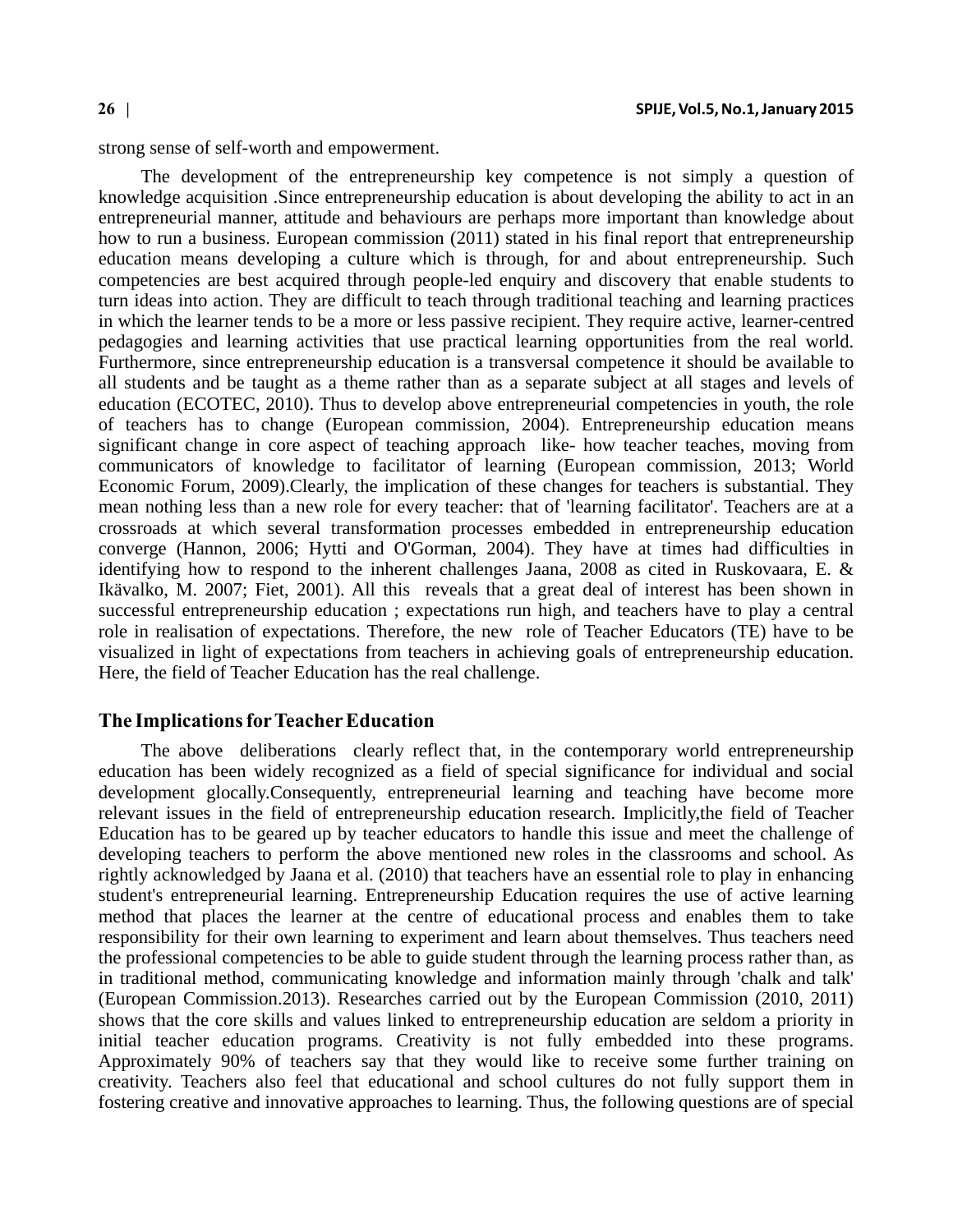strong sense of self-worth and empowerment.

The development of the entrepreneurship key competence is not simply a question of knowledge acquisition .Since entrepreneurship education is about developing the ability to act in an entrepreneurial manner, attitude and behaviours are perhaps more important than knowledge about how to run a business. European commission (2011) stated in his final report that entrepreneurship education means developing a culture which is through, for and about entrepreneurship. Such competencies are best acquired through people-led enquiry and discovery that enable students to turn ideas into action. They are difficult to teach through traditional teaching and learning practices in which the learner tends to be a more or less passive recipient. They require active, learner-centred pedagogies and learning activities that use practical learning opportunities from the real world. Furthermore, since entrepreneurship education is a transversal competence it should be available to all students and be taught as a theme rather than as a separate subject at all stages and levels of education (ECOTEC, 2010). Thus to develop above entrepreneurial competencies in youth, the role of teachers has to change (European commission, 2004). Entrepreneurship education means significant change in core aspect of teaching approach like- how teacher teaches, moving from communicators of knowledge to facilitator of learning (European commission, 2013; World Economic Forum, 2009).Clearly, the implication of these changes for teachers is substantial. They mean nothing less than a new role for every teacher: that of 'learning facilitator'. Teachers are at a crossroads at which several transformation processes embedded in entrepreneurship education converge (Hannon, 2006; Hytti and O'Gorman, 2004). They have at times had difficulties in identifying how to respond to the inherent challenges Jaana, 2008 as cited in Ruskovaara, E.  $\&$ Ikävalko, M. 2007; Fiet, 2001). All this reveals that a great deal of interest has been shown in successful entrepreneurship education ; expectations run high, and teachers have to play a central role in realisation of expectations. Therefore, the new role of Teacher Educators (TE) have to be visualized in light of expectations from teachers in achieving goals of entrepreneurship education. Here, the field of Teacher Education has the real challenge.

### **The Implications for Teacher Education**

The above deliberations clearly reflect that, in the contemporary world entrepreneurship education has been widely recognized as a field of special significance for individual and social development glocally.Consequently, entrepreneurial learning and teaching have become more relevant issues in the field of entrepreneurship education research. Implicitly,the field of Teacher Education has to be geared up by teacher educators to handle this issue and meet the challenge of developing teachers to perform the above mentioned new roles in the classrooms and school. As rightly acknowledged by Jaana et al. (2010) that teachers have an essential role to play in enhancing student's entrepreneurial learning. Entrepreneurship Education requires the use of active learning method that places the learner at the centre of educational process and enables them to take responsibility for their own learning to experiment and learn about themselves. Thus teachers need the professional competencies to be able to guide student through the learning process rather than, as in traditional method, communicating knowledge and information mainly through 'chalk and talk' (European Commission.2013). Researches carried out by the European Commission (2010, 2011) shows that the core skills and values linked to entrepreneurship education are seldom a priority in initial teacher education programs. Creativity is not fully embedded into these programs. Approximately 90% of teachers say that they would like to receive some further training on creativity. Teachers also feel that educational and school cultures do not fully support them in fostering creative and innovative approaches to learning. Thus, the following questions are of special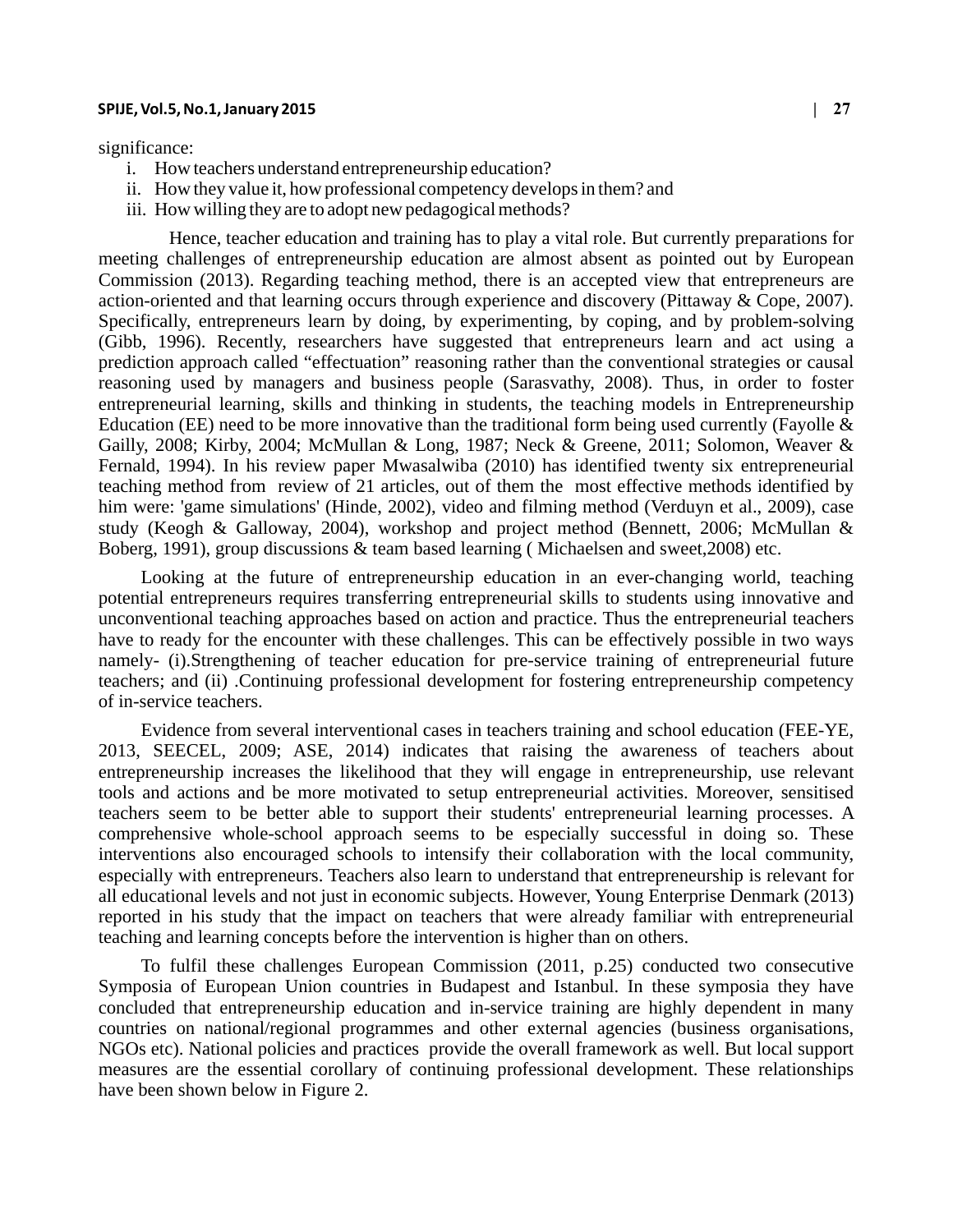significance:

- i. How teachers understand entrepreneurship education?
- ii. How they value it, how professional competency develops in them? and
- iii. How willing they are to adopt new pedagogical methods?

 Hence, teacher education and training has to play a vital role. But currently preparations for meeting challenges of entrepreneurship education are almost absent as pointed out by European Commission (2013). Regarding teaching method, there is an accepted view that entrepreneurs are action-oriented and that learning occurs through experience and discovery (Pittaway & Cope, 2007). Specifically, entrepreneurs learn by doing, by experimenting, by coping, and by problem-solving (Gibb, 1996). Recently, researchers have suggested that entrepreneurs learn and act using a prediction approach called "effectuation" reasoning rather than the conventional strategies or causal reasoning used by managers and business people (Sarasvathy, 2008). Thus, in order to foster entrepreneurial learning, skills and thinking in students, the teaching models in Entrepreneurship Education (EE) need to be more innovative than the traditional form being used currently (Fayolle  $\&$ Gailly, 2008; Kirby, 2004; McMullan & Long, 1987; Neck & Greene, 2011; Solomon, Weaver & Fernald, 1994). In his review paper Mwasalwiba (2010) has identified twenty six entrepreneurial teaching method from review of 21 articles, out of them the most effective methods identified by him were: 'game simulations' (Hinde, 2002), video and filming method (Verduyn et al., 2009), case study (Keogh & Galloway, 2004), workshop and project method (Bennett, 2006; McMullan & Boberg, 1991), group discussions & team based learning ( Michaelsen and sweet,2008) etc.

Looking at the future of entrepreneurship education in an ever-changing world, teaching potential entrepreneurs requires transferring entrepreneurial skills to students using innovative and unconventional teaching approaches based on action and practice. Thus the entrepreneurial teachers have to ready for the encounter with these challenges. This can be effectively possible in two ways namely- (i).Strengthening of teacher education for pre-service training of entrepreneurial future teachers; and (ii) .Continuing professional development for fostering entrepreneurship competency of in-service teachers.

Evidence from several interventional cases in teachers training and school education (FEE-YE, 2013, SEECEL, 2009; ASE, 2014) indicates that raising the awareness of teachers about entrepreneurship increases the likelihood that they will engage in entrepreneurship, use relevant tools and actions and be more motivated to setup entrepreneurial activities. Moreover, sensitised teachers seem to be better able to support their students' entrepreneurial learning processes. A comprehensive whole-school approach seems to be especially successful in doing so. These interventions also encouraged schools to intensify their collaboration with the local community, especially with entrepreneurs. Teachers also learn to understand that entrepreneurship is relevant for all educational levels and not just in economic subjects. However, Young Enterprise Denmark (2013) reported in his study that the impact on teachers that were already familiar with entrepreneurial teaching and learning concepts before the intervention is higher than on others.

To fulfil these challenges European Commission (2011, p.25) conducted two consecutive Symposia of European Union countries in Budapest and Istanbul. In these symposia they have concluded that entrepreneurship education and in-service training are highly dependent in many countries on national/regional programmes and other external agencies (business organisations, NGOs etc). National policies and practices provide the overall framework as well. But local support measures are the essential corollary of continuing professional development. These relationships have been shown below in Figure 2.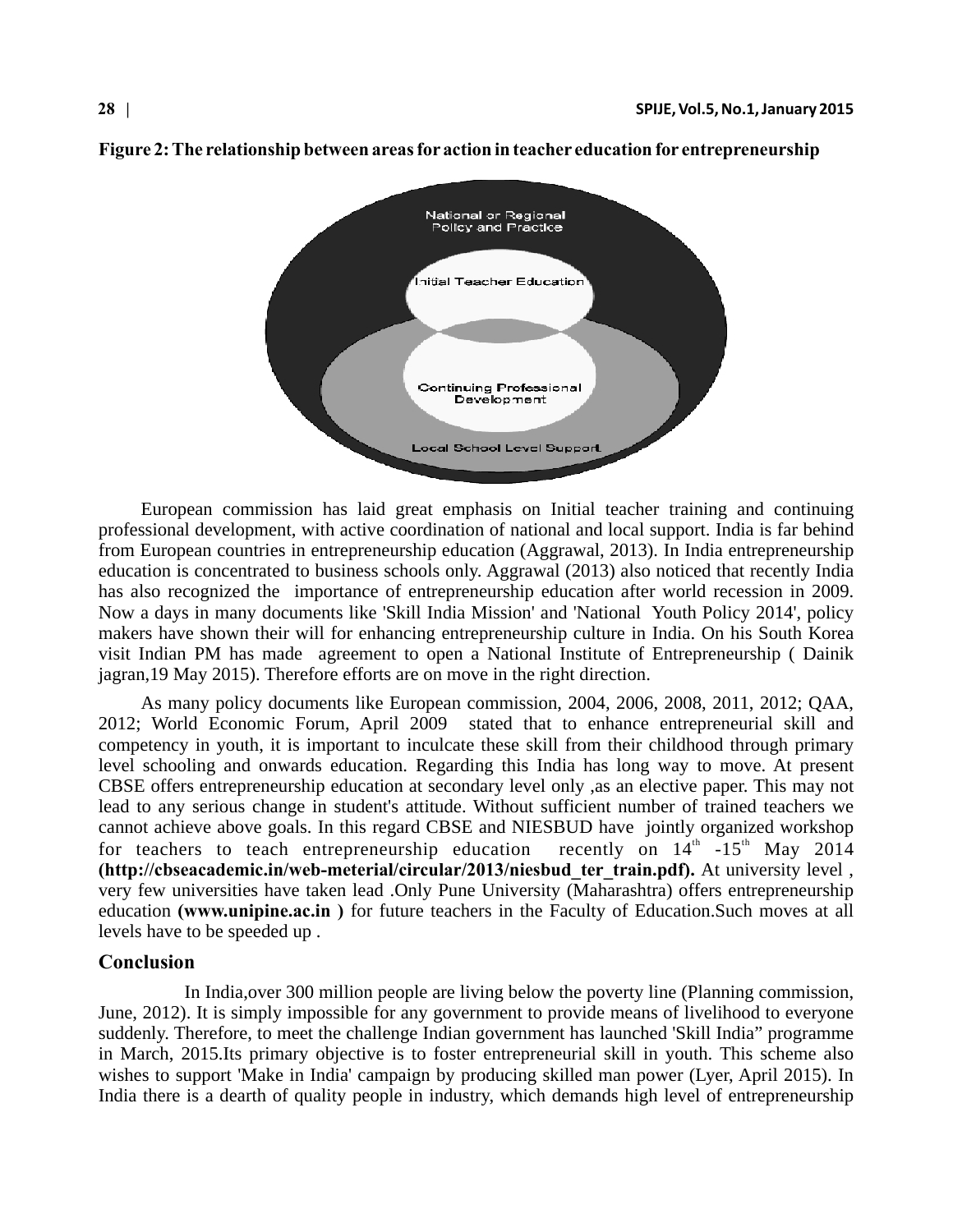

**Figure 2: The relationship between areas for action in teacher education for entrepreneurship**

European commission has laid great emphasis on Initial teacher training and continuing professional development, with active coordination of national and local support. India is far behind from European countries in entrepreneurship education (Aggrawal, 2013). In India entrepreneurship education is concentrated to business schools only. Aggrawal (2013) also noticed that recently India has also recognized the importance of entrepreneurship education after world recession in 2009. Now a days in many documents like 'Skill India Mission' and 'National Youth Policy 2014', policy makers have shown their will for enhancing entrepreneurship culture in India. On his South Korea visit Indian PM has made agreement to open a National Institute of Entrepreneurship ( Dainik jagran,19 May 2015). Therefore efforts are on move in the right direction.

As many policy documents like European commission, 2004, 2006, 2008, 2011, 2012; QAA, 2012; World Economic Forum, April 2009 stated that to enhance entrepreneurial skill and competency in youth, it is important to inculcate these skill from their childhood through primary level schooling and onwards education. Regarding this India has long way to move. At present CBSE offers entrepreneurship education at secondary level only ,as an elective paper. This may not lead to any serious change in student's attitude. Without sufficient number of trained teachers we cannot achieve above goals. In this regard CBSE and NIESBUD have jointly organized workshop for teachers to teach entrepreneurship education recently on  $14<sup>th</sup> -15<sup>th</sup>$  May 2014 **(http://cbseacademic.in/web-meterial/circular/2013/niesbud\_ter\_train.pdf).** At university level , very few universities have taken lead .Only Pune University (Maharashtra) offers entrepreneurship education **(www.unipine.ac.in )** for future teachers in the Faculty of Education.Such moves at all levels have to be speeded up .

### **Conclusion**

 In India,over 300 million people are living below the poverty line (Planning commission, June, 2012). It is simply impossible for any government to provide means of livelihood to everyone suddenly. Therefore, to meet the challenge Indian government has launched 'Skill India" programme in March, 2015.Its primary objective is to foster entrepreneurial skill in youth. This scheme also wishes to support 'Make in India' campaign by producing skilled man power (Lyer, April 2015). In India there is a dearth of quality people in industry, which demands high level of entrepreneurship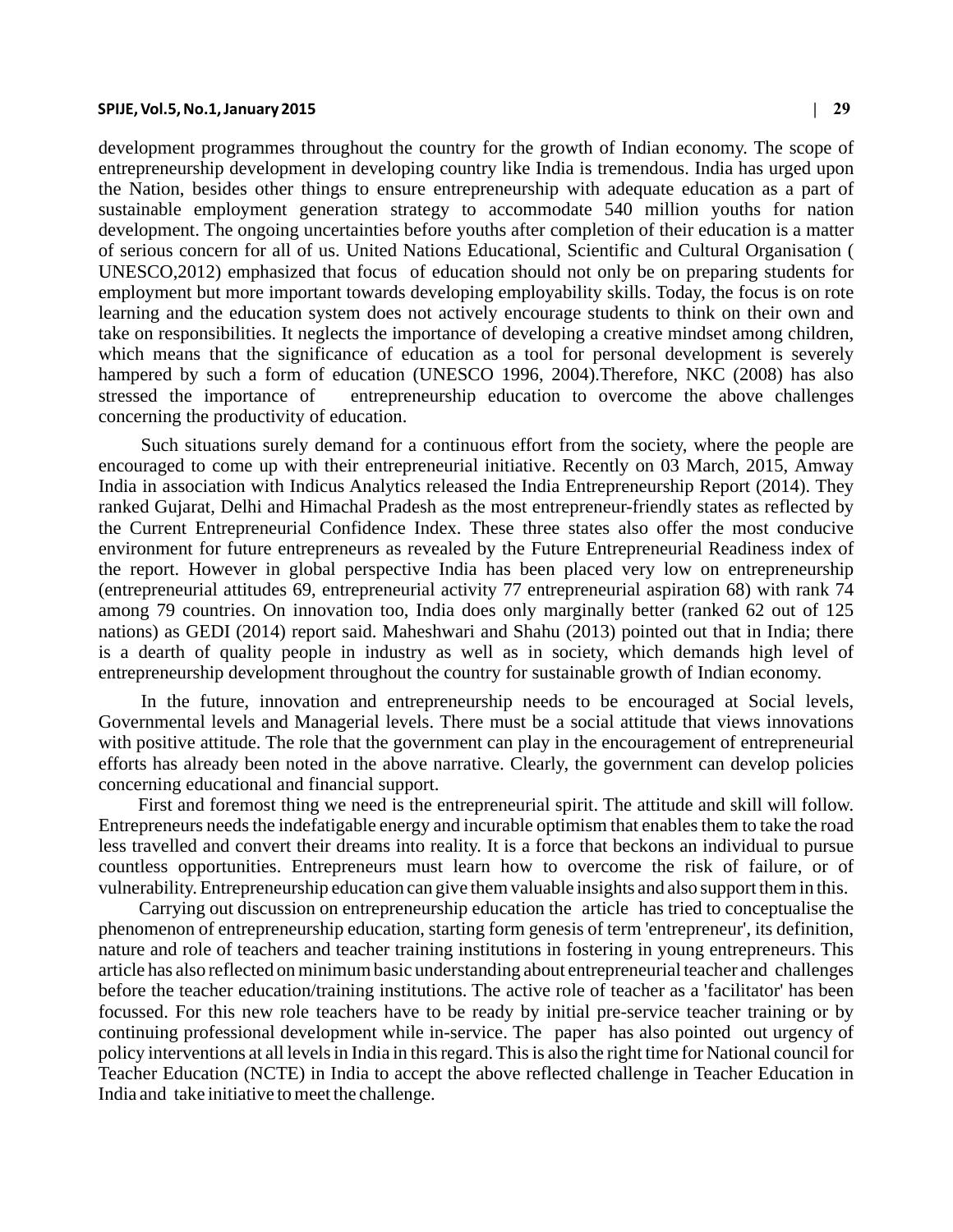development programmes throughout the country for the growth of Indian economy. The scope of entrepreneurship development in developing country like India is tremendous. India has urged upon the Nation, besides other things to ensure entrepreneurship with adequate education as a part of sustainable employment generation strategy to accommodate 540 million youths for nation development. The ongoing uncertainties before youths after completion of their education is a matter of serious concern for all of us. United Nations Educational, Scientific and Cultural Organisation ( UNESCO,2012) emphasized that focus of education should not only be on preparing students for employment but more important towards developing employability skills. Today, the focus is on rote learning and the education system does not actively encourage students to think on their own and take on responsibilities. It neglects the importance of developing a creative mindset among children, which means that the significance of education as a tool for personal development is severely hampered by such a form of education (UNESCO 1996, 2004).Therefore, NKC (2008) has also stressed the importance of entrepreneurship education to overcome the above challenges concerning the productivity of education.

Such situations surely demand for a continuous effort from the society, where the people are encouraged to come up with their entrepreneurial initiative. Recently on 03 March, 2015, Amway India in association with Indicus Analytics released the India Entrepreneurship Report (2014). They ranked Gujarat, Delhi and Himachal Pradesh as the most entrepreneur-friendly states as reflected by the Current Entrepreneurial Confidence Index. These three states also offer the most conducive environment for future entrepreneurs as revealed by the Future Entrepreneurial Readiness index of the report. However in global perspective India has been placed very low on entrepreneurship (entrepreneurial attitudes 69, entrepreneurial activity 77 entrepreneurial aspiration 68) with rank 74 among 79 countries. On innovation too, India does only marginally better (ranked 62 out of 125 nations) as GEDI (2014) report said. Maheshwari and Shahu (2013) pointed out that in India; there is a dearth of quality people in industry as well as in society, which demands high level of entrepreneurship development throughout the country for sustainable growth of Indian economy.

In the future, innovation and entrepreneurship needs to be encouraged at Social levels, Governmental levels and Managerial levels. There must be a social attitude that views innovations with positive attitude. The role that the government can play in the encouragement of entrepreneurial efforts has already been noted in the above narrative. Clearly, the government can develop policies concerning educational and financial support.

 First and foremost thing we need is the entrepreneurial spirit. The attitude and skill will follow. Entrepreneurs needs the indefatigable energy and incurable optimism that enables them to take the road less travelled and convert their dreams into reality. It is a force that beckons an individual to pursue countless opportunities. Entrepreneurs must learn how to overcome the risk of failure, or of vulnerability. Entrepreneurship education can give them valuable insights and also support them in this.

 Carrying out discussion on entrepreneurship education the article has tried to conceptualise the phenomenon of entrepreneurship education, starting form genesis of term 'entrepreneur', its definition, nature and role of teachers and teacher training institutions in fostering in young entrepreneurs. This article has also reflected on minimum basic understanding about entrepreneurial teacher and challenges before the teacher education/training institutions. The active role of teacher as a 'facilitator' has been focussed. For this new role teachers have to be ready by initial pre-service teacher training or by continuing professional development while in-service. The paper has also pointed out urgency of policy interventions at all levels in India in this regard. This is also the right time for National council for Teacher Education (NCTE) in India to accept the above reflected challenge in Teacher Education in India and take initiative to meet the challenge.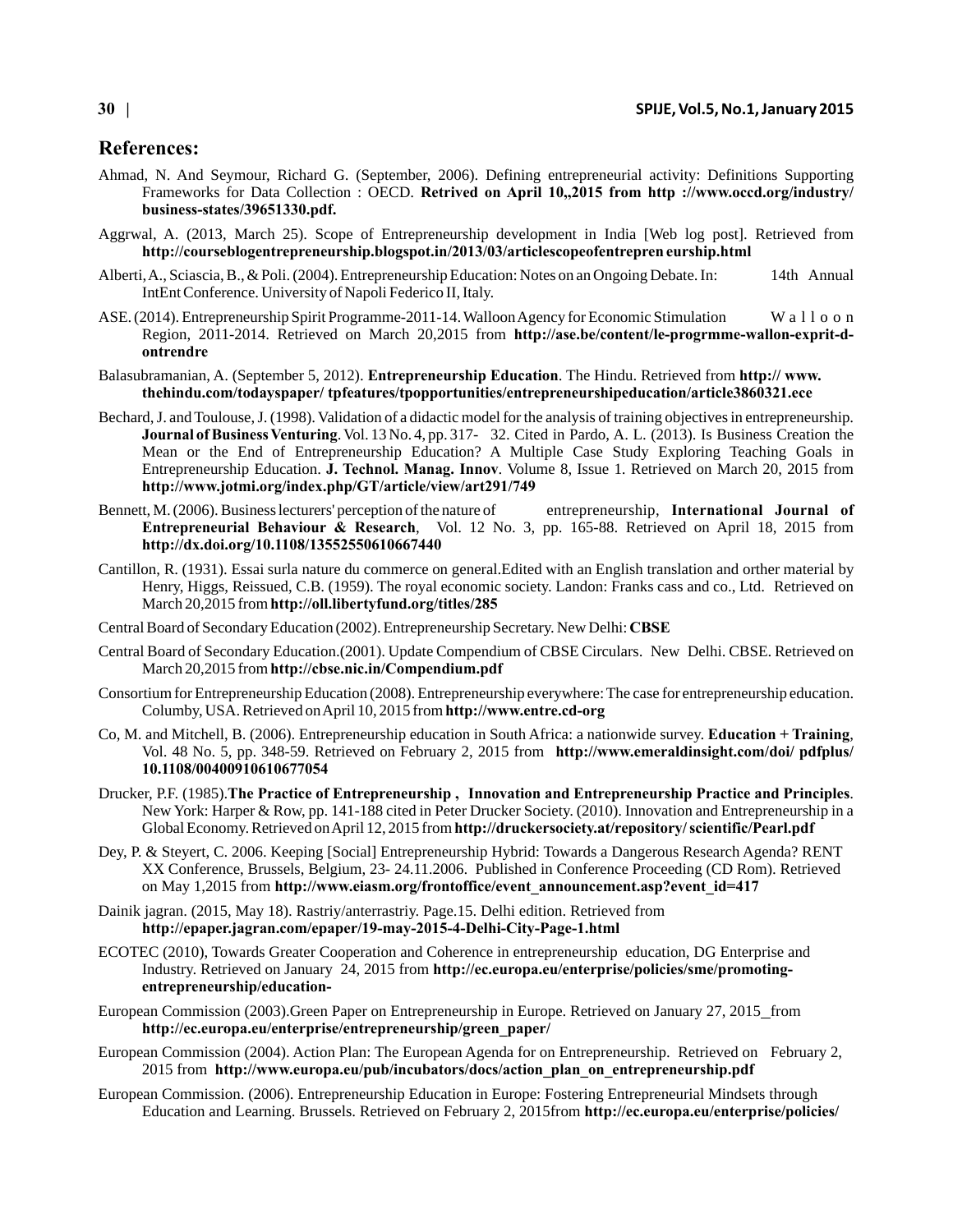### **References:**

- Ahmad, N. And Seymour, Richard G. (September, 2006). Defining entrepreneurial activity: Definitions Supporting Frameworks for Data Collection : OECD. **Retrived on April 10,,2015 from http ://www.occd.org/industry/ business-states/39651330.pdf.**
- Aggrwal, A. (2013, March 25). Scope of Entrepreneurship development in India [Web log post]. Retrieved from **http://courseblogentrepreneurship.blogspot.in/2013/03/articlescopeofentrepren eurship.html**
- Alberti, A., Sciascia, B., & Poli. (2004). Entrepreneurship Education: Notes on an Ongoing Debate. In: 14th Annual IntEnt Conference. University of Napoli Federico II, Italy.
- ASE. (2014). Entrepreneurship Spirit Programme-2011-14. Walloon Agency for Economic Stimulation W a 1100 n Region, 2011-2014. Retrieved on March 20,2015 from **http://ase.be/content/le-progrmme-wallon-exprit-dontrendre**
- Balasubramanian, A. (September 5, 2012). **Entrepreneurship Education**. The Hindu. Retrieved from **http:// www. thehindu.com/todayspaper/ tpfeatures/tpopportunities/entrepreneurshipeducation/article3860321.ece**
- Bechard, J. and Toulouse, J. (1998). Validation of a didactic model for the analysis of training objectives in entrepreneurship. **Journal of Business Venturing**. Vol. 13 No. 4, pp. 317- 32. Cited in Pardo, A. L. (2013). Is Business Creation the Mean or the End of Entrepreneurship Education? A Multiple Case Study Exploring Teaching Goals in Entrepreneurship Education. **J. Technol. Manag. Innov**. Volume 8, Issue 1. Retrieved on March 20, 2015 from **http://www.jotmi.org/index.php/GT/article/view/art291/749**
- Bennett, M. (2006). Business lecturers' perception of the nature of entrepreneurship, **International Journal of Entrepreneurial Behaviour & Research**, Vol. 12 No. 3, pp. 165-88. Retrieved on April 18, 2015 from **http://dx.doi.org/10.1108/13552550610667440**
- Cantillon, R. (1931). Essai surla nature du commerce on general.Edited with an English translation and orther material by Henry, Higgs, Reissued, C.B. (1959). The royal economic society. Landon: Franks cass and co., Ltd. Retrieved on March 20,2015 from **http://oll.libertyfund.org/titles/285**
- Central Board of Secondary Education (2002). Entrepreneurship Secretary. New Delhi: **CBSE**
- Central Board of Secondary Education.(2001). Update Compendium of CBSE Circulars. New Delhi. CBSE. Retrieved on March 20,2015 from **http://cbse.nic.in/Compendium.pdf**
- Consortium for Entrepreneurship Education (2008). Entrepreneurship everywhere: The case for entrepreneurship education. Columby, USA. Retrieved on April 10, 2015 from **http://www.entre.cd-org**
- Co, M. and Mitchell, B. (2006). Entrepreneurship education in South Africa: a nationwide survey. **Education + Training**, Vol. 48 No. 5, pp. 348-59. Retrieved on February 2, 2015 from **http://www.emeraldinsight.com/doi/ pdfplus/ 10.1108/00400910610677054**
- Drucker, P.F. (1985).**The Practice of Entrepreneurship , Innovation and Entrepreneurship Practice and Principles**. New York: Harper & Row, pp. 141-188 cited in Peter Drucker Society. (2010). Innovation and Entrepreneurship in a Global Economy. Retrieved on April 12, 2015 from **http://druckersociety.at/repository/ scientific/Pearl.pdf**
- Dey, P. & Steyert, C. 2006. Keeping [Social] Entrepreneurship Hybrid: Towards a Dangerous Research Agenda? RENT XX Conference, Brussels, Belgium, 23- 24.11.2006. Published in Conference Proceeding (CD Rom). Retrieved on May 1,2015 from **http://www.eiasm.org/frontoffice/event\_announcement.asp?event\_id=417**
- Dainik jagran. (2015, May 18). Rastriy/anterrastriy. Page.15. Delhi edition. Retrieved from **http://epaper.jagran.com/epaper/19-may-2015-4-Delhi-City-Page-1.html**
- ECOTEC (2010), Towards Greater Cooperation and Coherence in entrepreneurship education, DG Enterprise and Industry. Retrieved on January 24, 2015 from **http://ec.europa.eu/enterprise/policies/sme/promotingentrepreneurship/education-**
- European Commission (2003).Green Paper on Entrepreneurship in Europe. Retrieved on January 27, 2015 from **http://ec.europa.eu/enterprise/entrepreneurship/green\_paper/**
- European Commission (2004). Action Plan: The European Agenda for on Entrepreneurship. Retrieved on February 2, 2015 from **http://www.europa.eu/pub/incubators/docs/action\_plan\_on\_entrepreneurship.pdf**
- European Commission. (2006). Entrepreneurship Education in Europe: Fostering Entrepreneurial Mindsets through Education and Learning. Brussels. Retrieved on February 2, 2015from **http://ec.europa.eu/enterprise/policies/**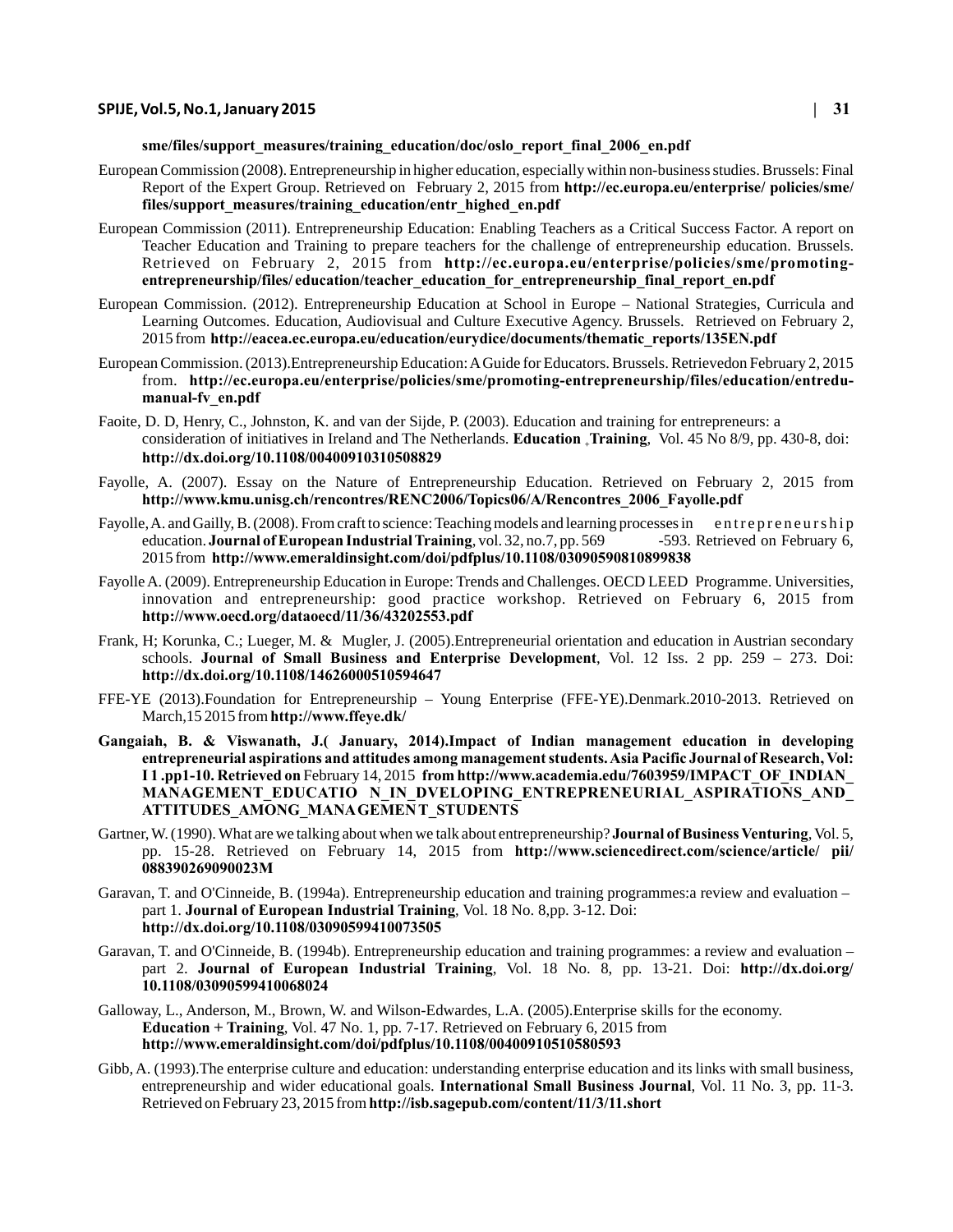#### **sme/files/support\_measures/training\_education/doc/oslo\_report\_final\_2006\_en.pdf**

- European Commission (2008). Entrepreneurship in higher education, especially within non-business studies. Brussels: Final Report of the Expert Group. Retrieved on February 2, 2015 from **http://ec.europa.eu/enterprise/ policies/sme/ files/support\_measures/training\_education/entr\_highed\_en.pdf**
- European Commission (2011). Entrepreneurship Education: Enabling Teachers as a Critical Success Factor. A report on Teacher Education and Training to prepare teachers for the challenge of entrepreneurship education. Brussels. Retrieved on February 2, 2015 from **http://ec.europa.eu/enterprise/policies/sme/promotingentrepreneurship/files/ education/teacher\_education\_for\_entrepreneurship\_final\_report\_en.pdf**
- European Commission. (2012). Entrepreneurship Education at School in Europe National Strategies, Curricula and Learning Outcomes. Education, Audiovisual and Culture Executive Agency. Brussels. Retrieved on February 2, 2015 from **http://eacea.ec.europa.eu/education/eurydice/documents/thematic\_reports/135EN.pdf**
- European Commission. (2013).Entrepreneurship Education: A Guide for Educators. Brussels. Retrievedon February 2, 2015 from. **http://ec.europa.eu/enterprise/policies/sme/promoting-entrepreneurship/files/education/entredumanual-fv\_en.pdf**
- Faoite, D. D, Henry, C., Johnston, K. and van der Sijde, P. (2003). Education and training for entrepreneurs: a consideration of initiatives in Ireland and The Netherlands. **Education Training**, Vol. 45 No 8/9, pp. 430-8, doi: **<sup>+</sup> http://dx.doi.org/10.1108/00400910310508829**
- Fayolle, A. (2007). Essay on the Nature of Entrepreneurship Education. Retrieved on February 2, 2015 from **http://www.kmu.unisg.ch/rencontres/RENC2006/Topics06/A/Rencontres\_2006\_Fayolle.pdf**
- Fayolle, A. and Gailly, B. (2008). From craft to science: Teaching models and learning processes in e n trepreneurship education. **Journal of European Industrial Training**, vol. 32, no. 7, pp. 569 -593. Retrieved on February 6, 2015 from **http://www.emeraldinsight.com/doi/pdfplus/10.1108/03090590810899838**
- Fayolle A. (2009). Entrepreneurship Education in Europe: Trends and Challenges. OECD LEED Programme. Universities, innovation and entrepreneurship: good practice workshop. Retrieved on February 6, 2015 from **http://www.oecd.org/dataoecd/11/36/43202553.pdf**
- Frank, H; Korunka, C.; Lueger, M. & Mugler, J. (2005).Entrepreneurial orientation and education in Austrian secondary schools. **Journal of Small Business and Enterprise Development**, Vol. 12 Iss. 2 pp. 259 – 273. Doi: **http://dx.doi.org/10.1108/14626000510594647**
- FFE-YE (2013).Foundation for Entrepreneurship Young Enterprise (FFE-YE).Denmark.2010-2013. Retrieved on March,15 2015 from **http://www.ffeye.dk/**
- **Gangaiah, B. & Viswanath, J.( January, 2014).Impact of Indian management education in developing entrepreneurial aspirations and attitudes among management students. Asia Pacific Journal of Research, Vol: I 1 .pp1-10. Retrieved on** February 14, 2015 **from http://www.academia.edu/7603959/IMPACT\_OF\_INDIAN\_ MANAGEMENT\_EDUCATIO N\_IN\_DVELOPING\_ENTREPRENEURIAL\_ASPIRATIONS\_AND\_ ATTITUDES\_AMONG\_MANA GEMEN T\_STUDENTS**
- Gartner, W. (1990). What are we talking about when we talk about entrepreneurship? **Journal of Business Venturing**, Vol. 5, pp. 15-28. Retrieved on February 14, 2015 from **http://www.sciencedirect.com/science/article/ pii/ 088390269090023M**
- Garavan, T. and O'Cinneide, B. (1994a). Entrepreneurship education and training programmes:a review and evaluation part 1. **Journal of European Industrial Training**, Vol. 18 No. 8,pp. 3-12. Doi: **http://dx.doi.org/10.1108/03090599410073505**
- Garavan, T. and O'Cinneide, B. (1994b). Entrepreneurship education and training programmes: a review and evaluation part 2. **Journal of European Industrial Training**, Vol. 18 No. 8, pp. 13-21. Doi: **http://dx.doi.org/ 10.1108/03090599410068024**
- Galloway, L., Anderson, M., Brown, W. and Wilson-Edwardes, L.A. (2005).Enterprise skills for the economy. **Education + Training**, Vol. 47 No. 1, pp. 7-17. Retrieved on February 6, 2015 from **http://www.emeraldinsight.com/doi/pdfplus/10.1108/00400910510580593**
- Gibb, A. (1993).The enterprise culture and education: understanding enterprise education and its links with small business, entrepreneurship and wider educational goals. **International Small Business Journal**, Vol. 11 No. 3, pp. 11-3. Retrieved on February 23, 2015 from **http://isb.sagepub.com/content/11/3/11.short**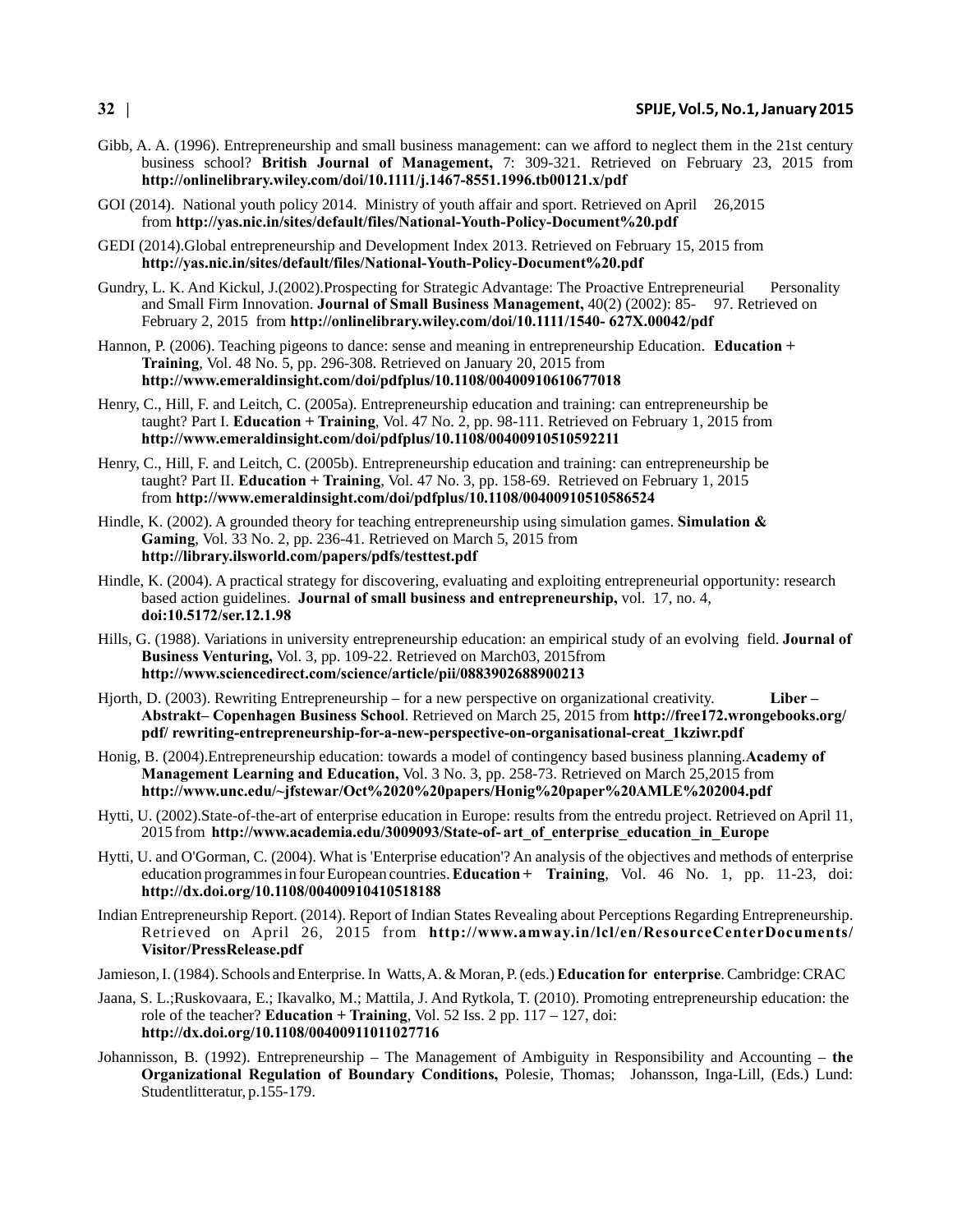#### **32 | SPIJE, Vol.5, No.1, January 2015**

- Gibb, A. A. (1996). Entrepreneurship and small business management: can we afford to neglect them in the 21st century business school? **British Journal of Management,** 7: 309-321. Retrieved on February 23, 2015 from **http://onlinelibrary.wiley.com/doi/10.1111/j.1467-8551.1996.tb00121.x/pdf**
- GOI (2014). National youth policy 2014. Ministry of youth affair and sport. Retrieved on April 26,2015 from **http://yas.nic.in/sites/default/files/National-Youth-Policy-Document%20.pdf**
- GEDI (2014).Global entrepreneurship and Development Index 2013. Retrieved on February 15, 2015 from **http://yas.nic.in/sites/default/files/National-Youth-Policy-Document%20.pdf**
- Gundry, L. K. And Kickul, J.(2002).Prospecting for Strategic Advantage: The Proactive Entrepreneurial Personality and Small Firm Innovation. **Journal of Small Business Management,** 40(2) (2002): 85- 97. Retrieved on February 2, 2015 from **http://onlinelibrary.wiley.com/doi/10.1111/1540- 627X.00042/pdf**
- Hannon, P. (2006). Teaching pigeons to dance: sense and meaning in entrepreneurship Education. **Education + Training**, Vol. 48 No. 5, pp. 296-308. Retrieved on January 20, 2015 from **http://www.emeraldinsight.com/doi/pdfplus/10.1108/00400910610677018**
- Henry, C., Hill, F. and Leitch, C. (2005a). Entrepreneurship education and training: can entrepreneurship be taught? Part I. **Education + Training**, Vol. 47 No. 2, pp. 98-111. Retrieved on February 1, 2015 from **http://www.emeraldinsight.com/doi/pdfplus/10.1108/00400910510592211**
- Henry, C., Hill, F. and Leitch, C. (2005b). Entrepreneurship education and training: can entrepreneurship be taught? Part II. **Education + Training**, Vol. 47 No. 3, pp. 158-69. Retrieved on February 1, 2015 from **http://www.emeraldinsight.com/doi/pdfplus/10.1108/00400910510586524**
- Hindle, K. (2002). A grounded theory for teaching entrepreneurship using simulation games. **Simulation & Gaming**, Vol. 33 No. 2, pp. 236-41. Retrieved on March 5, 2015 from **http://library.ilsworld.com/papers/pdfs/testtest.pdf**
- Hindle, K. (2004). A practical strategy for discovering, evaluating and exploiting entrepreneurial opportunity: research based action guidelines. **Journal of small business and entrepreneurship,** vol. 17, no. 4, **doi:10.5172/ser.12.1.98**
- Hills, G. (1988). Variations in university entrepreneurship education: an empirical study of an evolving field. **Journal of Business Venturing,** Vol. 3, pp. 109-22. Retrieved on March03, 2015from **http://www.sciencedirect.com/science/article/pii/0883902688900213**
- Hjorth, D. (2003). Rewriting Entrepreneurship for a new perspective on organizational creativity. **Liber Abstrakt– Copenhagen Business School**. Retrieved on March 25, 2015 from **http://free172.wrongebooks.org/ pdf/ rewriting-entrepreneurship-for-a-new-perspective-on-organisational-creat\_1kziwr.pdf**
- Honig, B. (2004).Entrepreneurship education: towards a model of contingency based business planning.**Academy of Management Learning and Education,** Vol. 3 No. 3, pp. 258-73. Retrieved on March 25,2015 from **http://www.unc.edu/~jfstewar/Oct%2020%20papers/Honig%20paper%20AMLE%202004.pdf**
- Hytti, U. (2002).State-of-the-art of enterprise education in Europe: results from the entredu project. Retrieved on April 11, 2015 from **http://www.academia.edu/3009093/State-of- art\_of\_enterprise\_education\_in\_Europe**
- Hytti, U. and O'Gorman, C. (2004). What is 'Enterprise education'? An analysis of the objectives and methods of enterprise education programmes in four European countries. **Education + Training**, Vol. 46 No. 1, pp. 11-23, doi: **http://dx.doi.org/10.1108/00400910410518188**
- Indian Entrepreneurship Report. (2014). Report of Indian States Revealing about Perceptions Regarding Entrepreneurship. Retrieved on April 26, 2015 from **http://www.amway.in/lcl/en/ResourceCenterDocuments/ Visitor/PressRelease.pdf**
- Jamieson, I. (1984). Schools and Enterprise. In Watts, A. & Moran, P. (eds.) **Education for enterprise**. Cambridge: CRAC
- Jaana, S. L.;Ruskovaara, E.; Ikavalko, M.; Mattila, J. And Rytkola, T. (2010). Promoting entrepreneurship education: the role of the teacher? **Education + Training**, Vol. 52 Iss. 2 pp. 117 – 127, doi: **http://dx.doi.org/10.1108/00400911011027716**
- Johannisson, B. (1992). Entrepreneurship The Management of Ambiguity in Responsibility and Accounting **the Organizational Regulation of Boundary Conditions,** Polesie, Thomas; Johansson, Inga-Lill, (Eds.) Lund: Studentlitteratur, p.155-179.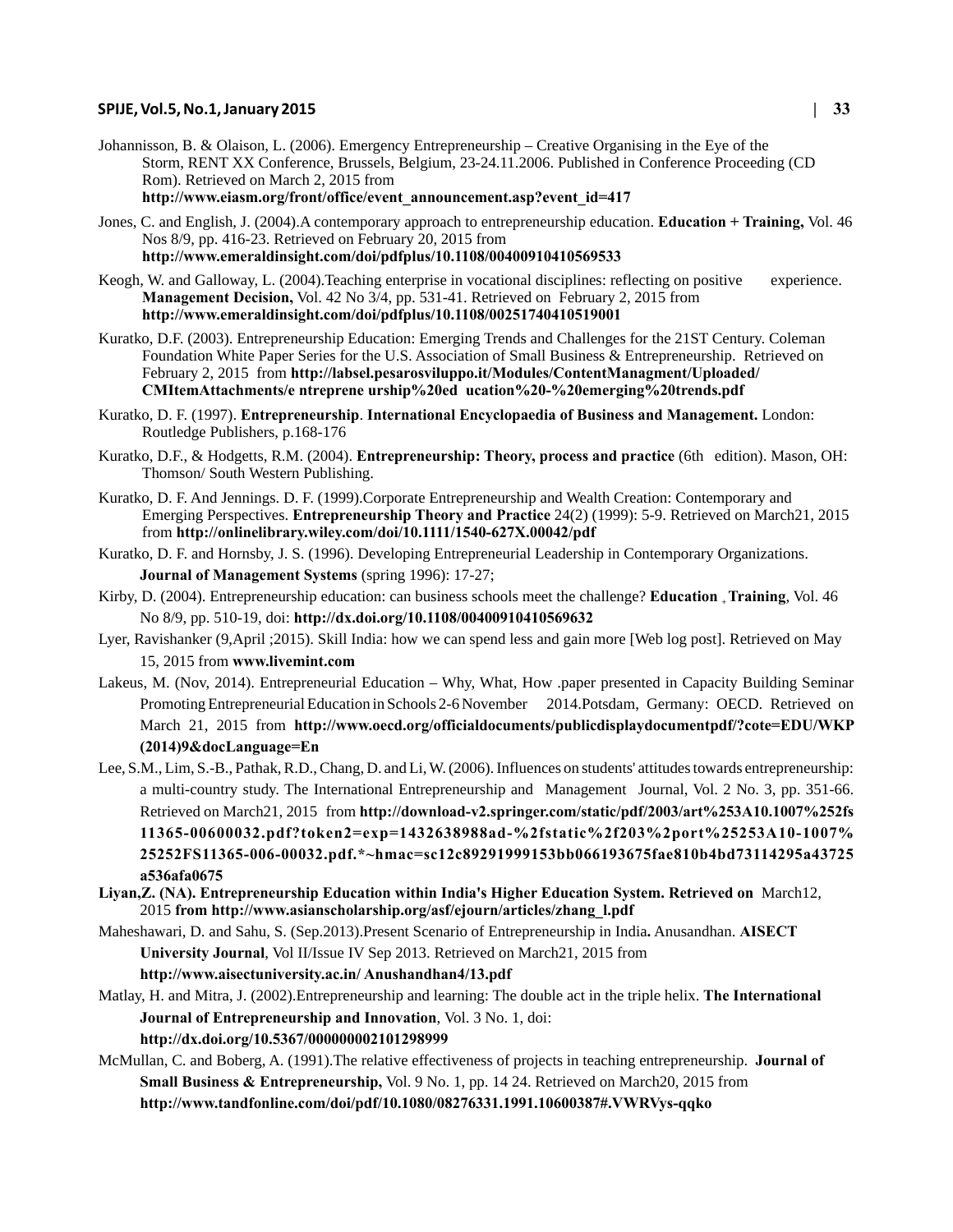Johannisson, B. & Olaison, L. (2006). Emergency Entrepreneurship – Creative Organising in the Eye of the Storm, RENT XX Conference, Brussels, Belgium, 23-24.11.2006. Published in Conference Proceeding (CD Rom). Retrieved on March 2, 2015 from

**http://www.eiasm.org/front/office/event\_announcement.asp?event\_id=417**

- Jones, C. and English, J. (2004).A contemporary approach to entrepreneurship education. **Education + Training,** Vol. 46 Nos 8/9, pp. 416-23. Retrieved on February 20, 2015 from **http://www.emeraldinsight.com/doi/pdfplus/10.1108/00400910410569533**
- Keogh, W. and Galloway, L. (2004). Teaching enterprise in vocational disciplines: reflecting on positive experience. **Management Decision,** Vol. 42 No 3/4, pp. 531-41. Retrieved on February 2, 2015 from **http://www.emeraldinsight.com/doi/pdfplus/10.1108/00251740410519001**
- Kuratko, D.F. (2003). Entrepreneurship Education: Emerging Trends and Challenges for the 21ST Century. Coleman Foundation White Paper Series for the U.S. Association of Small Business & Entrepreneurship. Retrieved on February 2, 2015 from **http://labsel.pesarosviluppo.it/Modules/ContentManagment/Uploaded/ CMItemAttachments/e ntreprene urship%20ed ucation%20-%20emerging%20trends.pdf**
- Kuratko, D. F. (1997). **Entrepreneurship**. **International Encyclopaedia of Business and Management.** London: Routledge Publishers, p.168-176
- Kuratko, D.F., & Hodgetts, R.M. (2004). **Entrepreneurship: Theory, process and practice** (6th edition). Mason, OH: Thomson/ South Western Publishing.
- Kuratko, D. F. And Jennings. D. F. (1999).Corporate Entrepreneurship and Wealth Creation: Contemporary and Emerging Perspectives. **Entrepreneurship Theory and Practice** 24(2) (1999): 5-9. Retrieved on March21, 2015 from **http://onlinelibrary.wiley.com/doi/10.1111/1540-627X.00042/pdf**
- Kuratko, D. F. and Hornsby, J. S. (1996). Developing Entrepreneurial Leadership in Contemporary Organizations. **Journal of Management Systems** (spring 1996): 17-27;
- Kirby, D. (2004). Entrepreneurship education: can business schools meet the challenge? Education <sub>+</sub> Training, Vol. 46 No 8/9, pp. 510-19, doi: **http://dx.doi.org/10.1108/00400910410569632**
- Lyer, Ravishanker (9,April ;2015). Skill India: how we can spend less and gain more [Web log post]. Retrieved on May 15, 2015 from **www.livemint.com**
- Lakeus, M. (Nov, 2014). Entrepreneurial Education Why, What, How .paper presented in Capacity Building Seminar Promoting Entrepreneurial Education in Schools 2-6 November 2014.Potsdam, Germany: OECD. Retrieved on March 21, 2015 from **http://www.oecd.org/officialdocuments/publicdisplaydocumentpdf/?cote=EDU/WKP (2014)9&docLanguage=En**
- Lee, S.M., Lim, S.-B., Pathak, R.D., Chang, D. and Li, W. (2006). Influences on students' attitudes towards entrepreneurship: a multi-country study. The International Entrepreneurship and Management Journal, Vol. 2 No. 3, pp. 351-66. Retrieved on March21, 2015 from **http://download-v2.springer.com/static/pdf/2003/art%253A10.1007%252fs 11365-00600032.pdf?token2=exp=1432638988ad-%2fstatic%2f203%2port%25253A10-1007% 25252FS11365-006-00032.pdf.\*~hmac=sc12c89291999153bb066193675fae810b4bd73114295a43725 a536afa0675**
- **Liyan,Z. (NA). Entrepreneurship Education within India's Higher Education System. Retrieved on** March12, 2015 **from http://www.asianscholarship.org/asf/ejourn/articles/zhang\_l.pdf**
- Maheshawari, D. and Sahu, S. (Sep.2013).Present Scenario of Entrepreneurship in India**.** Anusandhan. **AISECT University Journal**, Vol II/Issue IV Sep 2013. Retrieved on March21, 2015 from

**http://www.aisectuniversity.ac.in/ Anushandhan4/13.pdf**

- Matlay, H. and Mitra, J. (2002).Entrepreneurship and learning: The double act in the triple helix. **The International Journal of Entrepreneurship and Innovation**, Vol. 3 No. 1, doi:
	- **http://dx.doi.org/10.5367/000000002101298999**
- McMullan, C. and Boberg, A. (1991).The relative effectiveness of projects in teaching entrepreneurship. **Journal of Small Business & Entrepreneurship,** Vol. 9 No. 1, pp. 14 24. Retrieved on March20, 2015 from **http://www.tandfonline.com/doi/pdf/10.1080/08276331.1991.10600387#.VWRVys-qqko**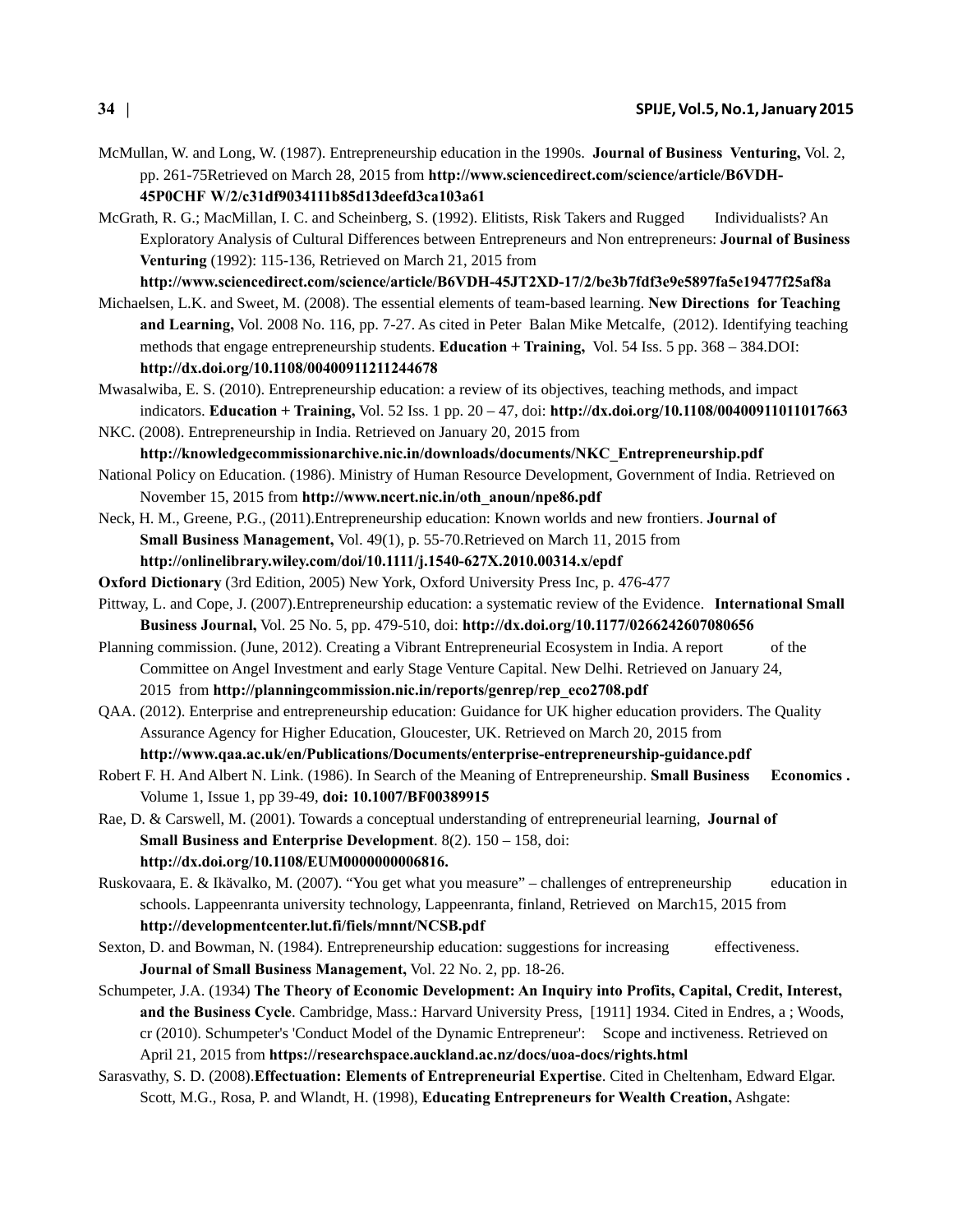- McMullan, W. and Long, W. (1987). Entrepreneurship education in the 1990s. **Journal of Business Venturing,** Vol. 2, pp. 261-75Retrieved on March 28, 2015 from **http://www.sciencedirect.com/science/article/B6VDH-45P0CHF W/2/c31df9034111b85d13deefd3ca103a61**
- McGrath, R. G.; MacMillan, I. C. and Scheinberg, S. (1992). Elitists, Risk Takers and Rugged Individualists? An Exploratory Analysis of Cultural Differences between Entrepreneurs and Non entrepreneurs: **Journal of Business Venturing** (1992): 115-136, Retrieved on March 21, 2015 from

**http://www.sciencedirect.com/science/article/B6VDH-45JT2XD-17/2/be3b7fdf3e9e5897fa5e19477f25af8a**

- Michaelsen, L.K. and Sweet, M. (2008). The essential elements of team-based learning. **New Directions for Teaching and Learning,** Vol. 2008 No. 116, pp. 7-27. As cited in Peter Balan Mike Metcalfe, (2012). Identifying teaching methods that engage entrepreneurship students. **Education + Training,** Vol. 54 Iss. 5 pp. 368 – 384.DOI: **http://dx.doi.org/10.1108/00400911211244678**
- Mwasalwiba, E. S. (2010). Entrepreneurship education: a review of its objectives, teaching methods, and impact indicators. **Education + Training,** Vol. 52 Iss. 1 pp. 20 – 47, doi: **http://dx.doi.org/10.1108/00400911011017663**
- NKC. (2008). Entrepreneurship in India. Retrieved on January 20, 2015 from **http://knowledgecommissionarchive.nic.in/downloads/documents/NKC\_Entrepreneurship.pdf**
- National Policy on Education. (1986). Ministry of Human Resource Development, Government of India. Retrieved on November 15, 2015 from **http://www.ncert.nic.in/oth\_anoun/npe86.pdf**
- Neck, H. M., Greene, P.G., (2011).Entrepreneurship education: Known worlds and new frontiers. **Journal of Small Business Management,** Vol. 49(1), p. 55-70.Retrieved on March 11, 2015 from **http://onlinelibrary.wiley.com/doi/10.1111/j.1540-627X.2010.00314.x/epdf**
- **Oxford Dictionary** (3rd Edition, 2005) New York, Oxford University Press Inc, p. 476-477
- Pittway, L. and Cope, J. (2007).Entrepreneurship education: a systematic review of the Evidence. **International Small Business Journal,** Vol. 25 No. 5, pp. 479-510, doi: **http://dx.doi.org/10.1177/0266242607080656**
- Planning commission. (June, 2012). Creating a Vibrant Entrepreneurial Ecosystem in India. A report of the Committee on Angel Investment and early Stage Venture Capital. New Delhi. Retrieved on January 24, 2015 from **http://planningcommission.nic.in/reports/genrep/rep\_eco2708.pdf**
- QAA. (2012). Enterprise and entrepreneurship education: Guidance for UK higher education providers. The Quality Assurance Agency for Higher Education, Gloucester, UK. Retrieved on March 20, 2015 from
	- **http://www.qaa.ac.uk/en/Publications/Documents/enterprise-entrepreneurship-guidance.pdf**
- Robert F. H. And Albert N. Link. (1986). In Search of the Meaning of Entrepreneurship. **Small Business Economics .** Volume 1, Issue 1, pp 39-49, **doi: 10.1007/BF00389915**
- Rae, D. & Carswell, M. (2001). Towards a conceptual understanding of entrepreneurial learning, **Journal of Small Business and Enterprise Development**. 8(2). 150 – 158, doi: **http://dx.doi.org/10.1108/EUM0000000006816.**
- Ruskovaara, E. & Ikävalko, M. (2007). "You get what you measure" challenges of entrepreneurship education in schools. Lappeenranta university technology, Lappeenranta, finland, Retrieved on March15, 2015 from **http://developmentcenter.lut.fi/fiels/mnnt/NCSB.pdf**
- Sexton, D. and Bowman, N. (1984). Entrepreneurship education: suggestions for increasing effectiveness. **Journal of Small Business Management,** Vol. 22 No. 2, pp. 18-26.
- Schumpeter, J.A. (1934) **The Theory of Economic Development: An Inquiry into Profits, Capital, Credit, Interest, and the Business Cycle**. Cambridge, Mass.: Harvard University Press, [1911] 1934. Cited in Endres, a ; Woods, cr (2010). Schumpeter's 'Conduct Model of the Dynamic Entrepreneur': Scope and inctiveness. Retrieved on April 21, 2015 from **https://researchspace.auckland.ac.nz/docs/uoa-docs/rights.html**
- Sarasvathy, S. D. (2008).**Effectuation: Elements of Entrepreneurial Expertise**. Cited in Cheltenham, Edward Elgar. Scott, M.G., Rosa, P. and Wlandt, H. (1998), **Educating Entrepreneurs for Wealth Creation,** Ashgate: